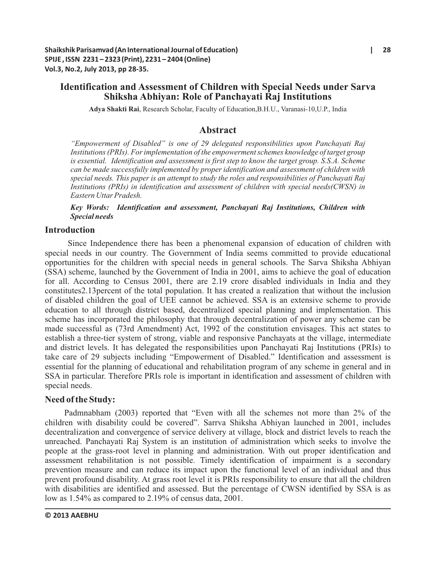# **Identification and Assessment of Children with Special Needs under Sarva Shiksha Abhiyan: Role of Panchayati Raj Institutions**

**Adya Shakti Rai**, Research Scholar, Faculty of Education,B.H.U., Varanasi-10,U.P., India

# **Abstract**

*"Empowerment of Disabled" is one of 29 delegated responsibilities upon Panchayati Raj Institutions (PRIs). For implementation of the empowerment schemes knowledge of target group is essential. Identification and assessment is first step to know the target group. S.S.A. Scheme can be made successfully implemented by proper identification and assessment of children with special needs. This paper is an attempt to study the roles and responsibilities of Panchayati Raj Institutions (PRIs) in identification and assessment of children with special needs(CWSN) in Eastern Uttar Pradesh.*

*Key Words: Identification and assessment, Panchayati Raj Institutions, Children with Special needs*

# **Introduction**

Since Independence there has been a phenomenal expansion of education of children with special needs in our country. The Government of India seems committed to provide educational opportunities for the children with special needs in general schools. The Sarva Shiksha Abhiyan (SSA) scheme, launched by the Government of India in 2001, aims to achieve the goal of education for all. According to Census 2001, there are 2.19 crore disabled individuals in India and they constitutes2.13percent of the total population. It has created a realization that without the inclusion of disabled children the goal of UEE cannot be achieved. SSA is an extensive scheme to provide education to all through district based, decentralized special planning and implementation. This scheme has incorporated the philosophy that through decentralization of power any scheme can be made successful as (73rd Amendment) Act, 1992 of the constitution envisages. This act states to establish a three-tier system of strong, viable and responsive Panchayats at the village, intermediate and district levels. It has delegated the responsibilities upon Panchayati Raj Institutions (PRIs) to take care of 29 subjects including "Empowerment of Disabled." Identification and assessment is essential for the planning of educational and rehabilitation program of any scheme in general and in SSA in particular. Therefore PRIs role is important in identification and assessment of children with special needs.

# **Need of the Study:**

Padmnabham (2003) reported that "Even with all the schemes not more than 2% of the children with disability could be covered". Sarrva Shiksha Abhiyan launched in 2001, includes decentralization and convergence of service delivery at village, block and district levels to reach the unreached. Panchayati Raj System is an institution of administration which seeks to involve the people at the grass-root level in planning and administration. With out proper identification and assessment rehabilitation is not possible. Timely identification of impairment is a secondary prevention measure and can reduce its impact upon the functional level of an individual and thus prevent profound disability. At grass root level it is PRIs responsibility to ensure that all the children with disabilities are identified and assessed. But the percentage of CWSN identified by SSA is as low as 1.54% as compared to 2.19% of census data, 2001.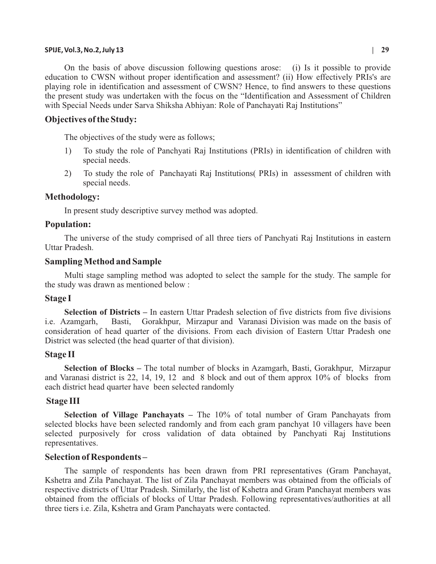## **SPIJE, Vol.3, No.2, July 13 | 29**

On the basis of above discussion following questions arose: (i) Is it possible to provide education to CWSN without proper identification and assessment? (ii) How effectively PRIs's are playing role in identification and assessment of CWSN? Hence, to find answers to these questions the present study was undertaken with the focus on the "Identification and Assessment of Children with Special Needs under Sarva Shiksha Abhiyan: Role of Panchayati Raj Institutions"

## **Objectives of the Study:**

The objectives of the study were as follows;

- 1) To study the role of Panchyati Raj Institutions (PRIs) in identification of children with special needs.
- 2) To study the role of Panchayati Raj Institutions( PRIs) in assessment of children with special needs.

#### **Methodology:**

In present study descriptive survey method was adopted.

#### **Population:**

The universe of the study comprised of all three tiers of Panchyati Raj Institutions in eastern Uttar Pradesh.

#### **Sampling Method and Sample**

Multi stage sampling method was adopted to select the sample for the study. The sample for the study was drawn as mentioned below :

### **Stage I**

**Selection of Districts –** In eastern Uttar Pradesh selection of five districts from five divisions i.e. Azamgarh, Basti, Gorakhpur, Mirzapur and Varanasi Division was made on the basis of consideration of head quarter of the divisions. From each division of Eastern Uttar Pradesh one District was selected (the head quarter of that division).

#### **Stage II**

**Selection of Blocks –** The total number of blocks in Azamgarh, Basti, Gorakhpur, Mirzapur and Varanasi district is 22, 14, 19, 12 and 8 block and out of them approx 10% of blocks from each district head quarter have been selected randomly

## **Stage III**

**Selection of Village Panchayats –** The 10% of total number of Gram Panchayats from selected blocks have been selected randomly and from each gram panchyat 10 villagers have been selected purposively for cross validation of data obtained by Panchyati Raj Institutions representatives.

#### **Selection of Respondents –**

The sample of respondents has been drawn from PRI representatives (Gram Panchayat, Kshetra and Zila Panchayat. The list of Zila Panchayat members was obtained from the officials of respective districts of Uttar Pradesh. Similarly, the list of Kshetra and Gram Panchayat members was obtained from the officials of blocks of Uttar Pradesh. Following representatives/authorities at all three tiers i.e. Zila, Kshetra and Gram Panchayats were contacted.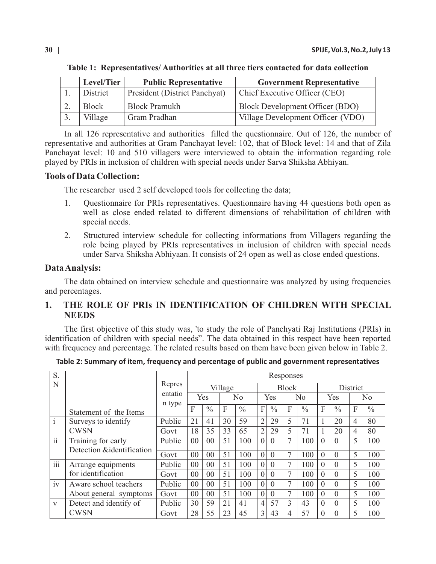| Level/Tier | <b>Public Representative</b>  | <b>Government Representative</b>  |
|------------|-------------------------------|-----------------------------------|
| District   | President (District Panchyat) | Chief Executive Officer (CEO)     |
| Block      | <b>Block Pramukh</b>          | Block Development Officer (BDO)   |
| Village    | Gram Pradhan                  | Village Development Officer (VDO) |

**Table 1: Representatives/ Authorities at all three tiers contacted for data collection**

In all 126 representative and authorities filled the questionnaire. Out of 126, the number of representative and authorities at Gram Panchayat level: 102, that of Block level: 14 and that of Zila Panchayat level: 10 and 510 villagers were interviewed to obtain the information regarding role played by PRIs in inclusion of children with special needs under Sarva Shiksha Abhiyan.

# **Tools of Data Collection:**

The researcher used 2 self developed tools for collecting the data;

- 1. Questionnaire for PRIs representatives. Questionnaire having 44 questions both open as well as close ended related to different dimensions of rehabilitation of children with special needs.
- 2. Structured interview schedule for collecting informations from Villagers regarding the role being played by PRIs representatives in inclusion of children with special needs under Sarva Shiksha Abhiyaan. It consists of 24 open as well as close ended questions.

# **Data Analysis:**

The data obtained on interview schedule and questionnaire was analyzed by using frequencies and percentages.

# **1. THE ROLE OF PRIs IN IDENTIFICATION OF CHILDREN WITH SPECIAL NEEDS**

The first objective of this study was, 'to study the role of Panchyati Raj Institutions (PRIs) in identification of children with special needs". The data obtained in this respect have been reported with frequency and percentage. The related results based on them have been given below in Table 2.

| Table 2: Summary of item, frequency and percentage of public and government representatives |  |  |  |  |
|---------------------------------------------------------------------------------------------|--|--|--|--|
|---------------------------------------------------------------------------------------------|--|--|--|--|

| S.                       |                                                 |         | Responses      |               |                |               |                |               |                |               |          |               |                |               |
|--------------------------|-------------------------------------------------|---------|----------------|---------------|----------------|---------------|----------------|---------------|----------------|---------------|----------|---------------|----------------|---------------|
| N                        |                                                 | Repres  | Village        |               |                |               | <b>Block</b>   |               |                |               | District |               |                |               |
|                          |                                                 | entatio | Yes            |               | N <sub>0</sub> |               | Yes            |               | N <sub>0</sub> |               | Yes      |               | N <sub>o</sub> |               |
|                          | Statement of the Items                          | n type  | F              | $\frac{0}{0}$ | F              | $\frac{0}{0}$ | F              | $\frac{0}{0}$ | F              | $\frac{0}{0}$ | F        | $\frac{0}{0}$ | F              | $\frac{0}{0}$ |
| $\mathbf{1}$             | Surveys to identify                             | Public  | 21             | 41            | 30             | 59            | $\overline{2}$ | 29            | 5              | 71            |          | 20            | 4              | 80            |
|                          | <b>CWSN</b>                                     | Govt    | 18             | 35            | 33             | 65            | $\overline{2}$ | 29            | 5              | 71            |          | 20            | 4              | 80            |
| $\overline{\mathbf{ii}}$ | Training for early<br>Detection &identification | Public  | 00             | 00            | 51             | 100           | $\theta$       | $\Omega$      | 7              | 100           | $\Omega$ | $\Omega$      | 5              | 100           |
|                          |                                                 | Govt    | 00             | 00            | 51             | 100           | $\overline{0}$ | $\Omega$      | $\overline{7}$ | 100           | $\theta$ | $\theta$      | 5              | 100           |
| iii                      | Arrange equipments<br>for identification        | Public  | 00             | 00            | 51             | 100           | $\Omega$       | $\Omega$      |                | 100           | $\Omega$ | $\Omega$      | 5              | 100           |
|                          |                                                 | Govt    | 00             | 00            | 51             | 100           | $\theta$       | $\Omega$      |                | 100           | $\Omega$ | $\Omega$      | 5              | 100           |
| iv                       | Aware school teachers                           | Public  | 0 <sup>0</sup> | 00            | 51             | 100           | $\theta$       | $\Omega$      |                | 100           | $\Omega$ | $\Omega$      | 5              | 100           |
|                          | About general symptoms                          | Govt    | 00             | 00            | 51             | 100           | $\theta$       | $\Omega$      | 7              | 100           | $\Omega$ | $\Omega$      | 5              | 100           |
| $\mathbf{V}$             | Detect and identify of                          | Public  | 30             | 59            | 21             | 41            | $\overline{4}$ | 57            | 3              | 43            | $\Omega$ | $\Omega$      | 5              | 100           |
|                          | <b>CWSN</b>                                     | Govt    | 28             | 55            | 23             | 45            | 3              | 43            | 4              | 57            | $\theta$ | $\theta$      | 5              | 100           |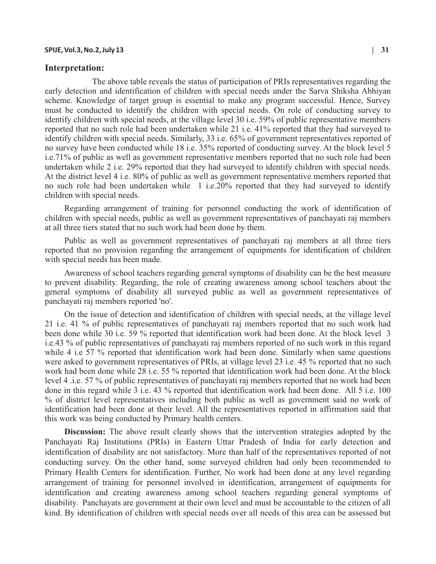## **Interpretation:**

 The above table reveals the status of participation of PRIs representatives regarding the early detection and identification of children with special needs under the Sarva Shiksha Abhiyan scheme. Knowledge of target group is essential to make any program successful. Hence, Survey must be conducted to identify the children with special needs. On role of conducting survey to identify children with special needs, at the village level 30 i.e. 59% of public representative members reported that no such role had been undertaken while 21 i.e. 41% reported that they had surveyed to identify children with special needs. Similarly, 33 i.e. 65% of government representatives reported of no survey have been conducted while 18 i.e. 35% reported of conducting survey. At the block level 5 i.e.71% of public as well as government representative members reported that no such role had been undertaken while 2 i.e. 29% reported that they had surveyed to identify children with special needs. At the district level 4 i.e. 80% of public as well as government representative members reported that no such role had been undertaken while 1 i.e.20% reported that they had surveyed to identify children with special needs.

Regarding arrangement of training for personnel conducting the work of identification of children with special needs, public as well as government representatives of panchayati raj members at all three tiers stated that no such work had been done by them.

Public as well as government representatives of panchayati raj members at all three tiers reported that no provision regarding the arrangement of equipments for identification of children with special needs has been made.

Awareness of school teachers regarding general symptoms of disability can be the best measure to prevent disability. Regarding, the role of creating awareness among school teachers about the general symptoms of disability all surveyed public as well as government representatives of panchayati raj members reported 'no'.

On the issue of detection and identification of children with special needs, at the village level 21 i.e. 41 % of public representatives of panchayati raj members reported that no such work had been done while 30 i.e. 59 % reported that identification work had been done. At the block level 3 i.e.43 % of public representatives of panchayati raj members reported of no such work in this regard while 4 i.e 57 % reported that identification work had been done. Similarly when same questions were asked to government representatives of PRIs, at village level 23 i.e. 45 % reported that no such work had been done while 28 i.e. 55 % reported that identification work had been done. At the block level 4 .i.e. 57 % of public representatives of panchayati raj members reported that no work had been done in this regard while 3 i.e. 43 % reported that identification work had been done. All 5 i.e. 100 % of district level representatives including both public as well as government said no work of identification had been done at their level. All the representatives reported in affirmation said that this work was being conducted by Primary health centers.

**Discussion:** The above result clearly shows that the intervention strategies adopted by the Panchayati Raj Institutions (PRIs) in Eastern Uttar Pradesh of India for early detection and identification of disability are not satisfactory. More than half of the representatives reported of not conducting survey. On the other hand, some surveyed children had only been recommended to Primary Health Centers for identification. Further, No work had been done at any level regarding arrangement of training for personnel involved in identification, arrangement of equipments for identification and creating awareness among school teachers regarding general symptoms of disability. Panchayats are government at their own level and must be accountable to the citizen of all kind. By identification of children with special needs over all needs of this area can be assessed but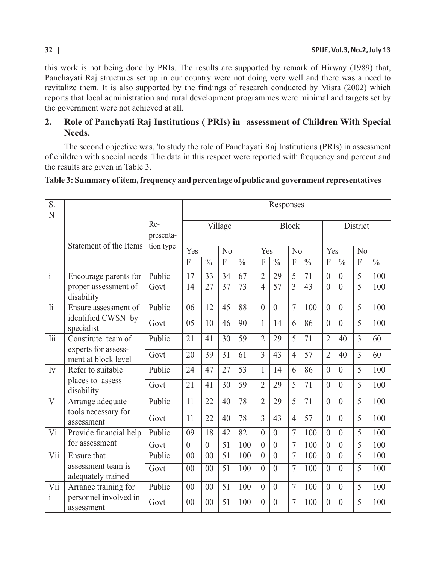this work is not being done by PRIs. The results are supported by remark of Hirway (1989) that, Panchayati Raj structures set up in our country were not doing very well and there was a need to revitalize them. It is also supported by the findings of research conducted by Misra (2002) which reports that local administration and rural development programmes were minimal and targets set by the government were not achieved at all.

# **2. Role of Panchyati Raj Institutions ( PRIs) in assessment of Children With Special Needs.**

The second objective was, 'to study the role of Panchayati Raj Institutions (PRIs) in assessment of children with special needs. The data in this respect were reported with frequency and percent and the results are given in Table 3.

| S.<br>N                  |                                                                  |                  |                | Responses      |                |               |                |                |                |               |                 |                  |                |               |
|--------------------------|------------------------------------------------------------------|------------------|----------------|----------------|----------------|---------------|----------------|----------------|----------------|---------------|-----------------|------------------|----------------|---------------|
|                          | Statement of the Items                                           | Re-<br>presenta- | Village        |                |                |               | <b>Block</b>   |                |                |               | <b>District</b> |                  |                |               |
|                          |                                                                  | tion type        | Yes            |                | N <sub>0</sub> |               | Yes            |                | No             |               | Yes             |                  | No             |               |
|                          |                                                                  |                  | $\overline{F}$ | $\frac{0}{0}$  | $\overline{F}$ | $\frac{0}{0}$ | F              | $\frac{0}{0}$  | $\overline{F}$ | $\frac{0}{0}$ | F               | $\frac{0}{0}$    | F              | $\frac{0}{0}$ |
| $\mathbf{i}$             | Encourage parents for<br>proper assessment of<br>disability      | Public           | 17             | 33             | 34             | 67            | $\overline{2}$ | 29             | 5              | 71            | $\overline{0}$  | $\boldsymbol{0}$ | 5              | 100           |
|                          |                                                                  | Govt             | 14             | 27             | 37             | 73            | $\overline{4}$ | 57             | 3              | 43            | $\theta$        | $\theta$         | 5              | 100           |
| $\overline{\mathrm{li}}$ | Ensure assessment of                                             | Public           | 06             | 12             | 45             | 88            | $\theta$       | $\overline{0}$ | $\overline{7}$ | 100           | $\theta$        | $\overline{0}$   | 5              | 100           |
|                          | identified CWSN by<br>specialist                                 | Govt             | 05             | 10             | 46             | 90            | $\mathbf{1}$   | 14             | 6              | 86            | $\theta$        | $\theta$         | 5              | 100           |
| <b>lii</b>               | Constitute team of<br>experts for assess-<br>ment at block level | Public           | 21             | 41             | 30             | 59            | $\overline{2}$ | 29             | 5              | 71            | $\overline{2}$  | 40               | $\overline{3}$ | 60            |
|                          |                                                                  | Govt             | 20             | 39             | 31             | 61            | 3              | 43             | $\overline{4}$ | 57            | $\overline{2}$  | 40               | $\overline{3}$ | 60            |
| Iv                       | Refer to suitable<br>places to assess<br>disability              | Public           | 24             | 47             | 27             | 53            | $\mathbf{1}$   | 14             | 6              | 86            | $\theta$        | $\overline{0}$   | 5              | 100           |
|                          |                                                                  | Govt             | 21             | 41             | 30             | 59            | $\overline{2}$ | 29             | 5              | 71            | $\overline{0}$  | $\overline{0}$   | 5              | 100           |
| $\overline{V}$           | Arrange adequate                                                 | Public           | 11             | 22             | 40             | 78            | $\overline{2}$ | 29             | 5              | 71            | $\overline{0}$  | $\theta$         | 5              | 100           |
|                          | tools necessary for<br>assessment                                | Govt             | 11             | 22             | 40             | 78            | $\overline{3}$ | 43             | $\overline{4}$ | 57            | $\overline{0}$  | $\overline{0}$   | 5              | 100           |
| Vi                       | Provide financial help                                           | Public           | 09             | 18             | 42             | 82            | $\theta$       | $\overline{0}$ | $\overline{7}$ | 100           | $\theta$        | $\theta$         | 5              | 100           |
|                          | for assessment                                                   | Govt             | $\overline{0}$ | $\theta$       | 51             | 100           | $\theta$       | $\overline{0}$ | 7              | 100           | $\theta$        | $\theta$         | 5              | 100           |
| Vii                      | <b>Ensure that</b>                                               | Public           | 00             | 0 <sup>0</sup> | 51             | 100           | $\theta$       | $\overline{0}$ | 7              | 100           | $\theta$        | $\theta$         | 5              | 100           |
|                          | assessment team is<br>adequately trained                         | Govt             | 00             | 0 <sup>0</sup> | 51             | 100           | $\theta$       | $\theta$       | 7              | 100           | $\theta$        | $\theta$         | 5              | 100           |
| Vii                      | Arrange training for                                             | Public           | 00             | 0 <sup>0</sup> | 51             | 100           | $\theta$       | $\theta$       | $\overline{7}$ | 100           | $\theta$        | $\theta$         | 5              | 100           |
| $\mathbf{i}$             | personnel involved in<br>assessment                              | Govt             | 0 <sup>0</sup> | 00             | 51             | 100           | $\theta$       | $\theta$       | 7              | 100           | $\overline{0}$  | $\mathbf{0}$     | 5              | 100           |

# **Table 3: Summary of item, frequency and percentage of public and government representatives**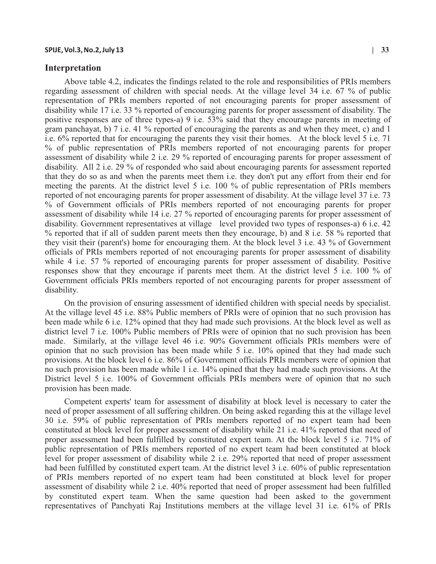### **Interpretation**

Above table 4.2, indicates the findings related to the role and responsibilities of PRIs members regarding assessment of children with special needs. At the village level 34 i.e. 67 % of public representation of PRIs members reported of not encouraging parents for proper assessment of disability while 17 i.e. 33 % reported of encouraging parents for proper assessment of disability. The positive responses are of three types-a) 9 i.e. 53% said that they encourage parents in meeting of gram panchayat, b) 7 i.e. 41 % reported of encouraging the parents as and when they meet, c) and 1 i.e. 6% reported that for encouraging the parents they visit their homes. At the block level 5 i.e. 71 % of public representation of PRIs members reported of not encouraging parents for proper assessment of disability while 2 i.e. 29 % reported of encouraging parents for proper assessment of disability. All 2 i.e. 29 % of responded who said about encouraging parents for assessment reported that they do so as and when the parents meet them i.e. they don't put any effort from their end for meeting the parents. At the district level 5 i.e. 100 % of public representation of PRIs members reported of not encouraging parents for proper assessment of disability. At the village level 37 i.e. 73 % of Government officials of PRIs members reported of not encouraging parents for proper assessment of disability while 14 i.e. 27 % reported of encouraging parents for proper assessment of disability. Government representatives at village level provided two types of responses-a) 6 i.e. 42 % reported that if all of sudden parent meets then they encourage, b) and 8 i.e. 58 % reported that they visit their (parent's) home for encouraging them. At the block level 3 i.e. 43 % of Government officials of PRIs members reported of not encouraging parents for proper assessment of disability while 4 i.e. 57 % reported of encouraging parents for proper assessment of disability. Positive responses show that they encourage if parents meet them. At the district level 5 i.e. 100 % of Government officials PRIs members reported of not encouraging parents for proper assessment of disability.

On the provision of ensuring assessment of identified children with special needs by specialist. At the village level 45 i.e. 88% Public members of PRIs were of opinion that no such provision has been made while 6 i.e. 12% opined that they had made such provisions. At the block level as well as district level 7 i.e. 100% Public members of PRIs were of opinion that no such provision has been made. Similarly, at the village level 46 i.e. 90% Government officials PRIs members were of opinion that no such provision has been made while 5 i.e. 10% opined that they had made such provisions. At the block level 6 i.e. 86% of Government officials PRIs members were of opinion that no such provision has been made while 1 i.e. 14% opined that they had made such provisions. At the District level 5 i.e. 100% of Government officials PRIs members were of opinion that no such provision has been made.

Competent experts' team for assessment of disability at block level is necessary to cater the need of proper assessment of all suffering children. On being asked regarding this at the village level 30 i.e. 59% of public representation of PRIs members reported of no expert team had been constituted at block level for proper assessment of disability while 21 i.e. 41% reported that need of proper assessment had been fulfilled by constituted expert team. At the block level 5 i.e. 71% of public representation of PRIs members reported of no expert team had been constituted at block level for proper assessment of disability while 2 i.e. 29% reported that need of proper assessment had been fulfilled by constituted expert team. At the district level 3 i.e. 60% of public representation of PRIs members reported of no expert team had been constituted at block level for proper assessment of disability while 2 i.e. 40% reported that need of proper assessment had been fulfilled by constituted expert team. When the same question had been asked to the government representatives of Panchyati Raj Institutions members at the village level 31 i.e. 61% of PRIs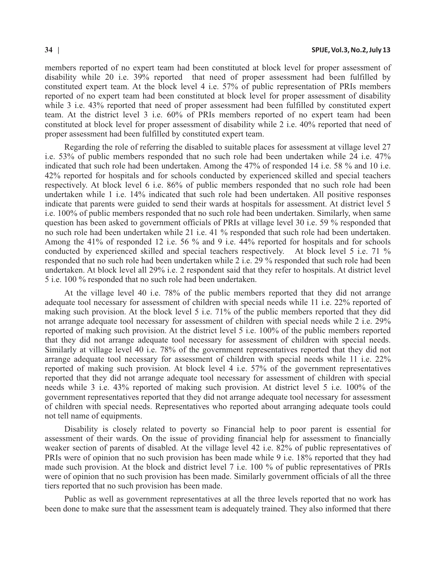members reported of no expert team had been constituted at block level for proper assessment of disability while 20 i.e. 39% reported that need of proper assessment had been fulfilled by constituted expert team. At the block level 4 i.e. 57% of public representation of PRIs members reported of no expert team had been constituted at block level for proper assessment of disability while 3 i.e. 43% reported that need of proper assessment had been fulfilled by constituted expert team. At the district level 3 i.e. 60% of PRIs members reported of no expert team had been constituted at block level for proper assessment of disability while 2 i.e. 40% reported that need of proper assessment had been fulfilled by constituted expert team.

Regarding the role of referring the disabled to suitable places for assessment at village level 27 i.e. 53% of public members responded that no such role had been undertaken while 24 i.e. 47% indicated that such role had been undertaken. Among the 47% of responded 14 i.e. 58 % and 10 i.e. 42% reported for hospitals and for schools conducted by experienced skilled and special teachers respectively. At block level 6 i.e. 86% of public members responded that no such role had been undertaken while 1 i.e. 14% indicated that such role had been undertaken. All positive responses indicate that parents were guided to send their wards at hospitals for assessment. At district level 5 i.e. 100% of public members responded that no such role had been undertaken. Similarly, when same question has been asked to government officials of PRIs at village level 30 i.e. 59 % responded that no such role had been undertaken while 21 i.e. 41 % responded that such role had been undertaken. Among the 41% of responded 12 i.e. 56 % and 9 i.e. 44% reported for hospitals and for schools conducted by experienced skilled and special teachers respectively. At block level 5 i.e. 71 % responded that no such role had been undertaken while 2 i.e. 29 % responded that such role had been undertaken. At block level all 29% i.e. 2 respondent said that they refer to hospitals. At district level 5 i.e. 100 % responded that no such role had been undertaken.

At the village level 40 i.e. 78% of the public members reported that they did not arrange adequate tool necessary for assessment of children with special needs while 11 i.e. 22% reported of making such provision. At the block level 5 i.e. 71% of the public members reported that they did not arrange adequate tool necessary for assessment of children with special needs while 2 i.e. 29% reported of making such provision. At the district level 5 i.e. 100% of the public members reported that they did not arrange adequate tool necessary for assessment of children with special needs. Similarly at village level 40 i.e. 78% of the government representatives reported that they did not arrange adequate tool necessary for assessment of children with special needs while 11 i.e. 22% reported of making such provision. At block level 4 i.e. 57% of the government representatives reported that they did not arrange adequate tool necessary for assessment of children with special needs while 3 i.e. 43% reported of making such provision. At district level 5 i.e. 100% of the government representatives reported that they did not arrange adequate tool necessary for assessment of children with special needs. Representatives who reported about arranging adequate tools could not tell name of equipments.

Disability is closely related to poverty so Financial help to poor parent is essential for assessment of their wards. On the issue of providing financial help for assessment to financially weaker section of parents of disabled. At the village level 42 i.e. 82% of public representatives of PRIs were of opinion that no such provision has been made while 9 i.e. 18% reported that they had made such provision. At the block and district level 7 i.e. 100 % of public representatives of PRIs were of opinion that no such provision has been made. Similarly government officials of all the three tiers reported that no such provision has been made.

Public as well as government representatives at all the three levels reported that no work has been done to make sure that the assessment team is adequately trained. They also informed that there